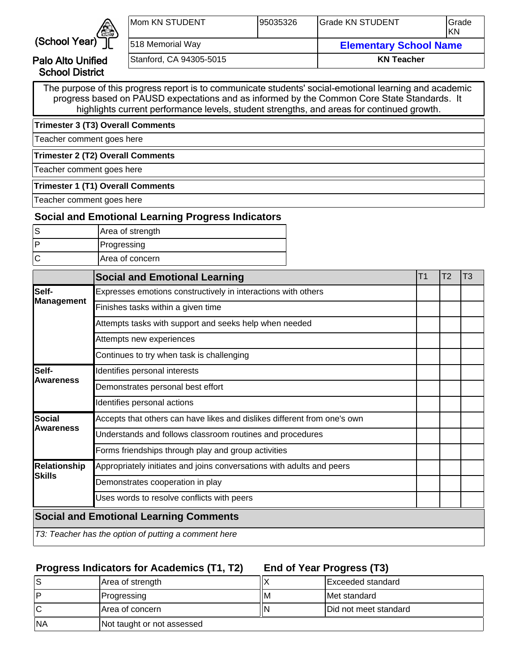

Palo Alto Unified School District

| Mom KN STUDENT          | 195035326 | <b>IGrade KN STUDENT</b>      | <b>I</b> Grade<br>IKN |  |
|-------------------------|-----------|-------------------------------|-----------------------|--|
| 518 Memorial Way        |           | <b>Elementary School Name</b> |                       |  |
| Stanford, CA 94305-5015 |           | <b>KN Teacher</b>             |                       |  |

The purpose of this progress report is to communicate students' social-emotional learning and academic progress based on PAUSD expectations and as informed by the Common Core State Standards. It highlights current performance levels, student strengths, and areas for continued growth.

**Trimester 3 (T3) Overall Comments**

Teacher comment goes here

**Trimester 2 (T2) Overall Comments**

Teacher comment goes here

#### **Trimester 1 (T1) Overall Comments**

Teacher comment goes here

#### **Social and Emotional Learning Progress Indicators**

| Area of strength |
|------------------|
| Progressing      |
| Area of concern  |

|                     | <b>Social and Emotional Learning</b>                                     | Τ1 | T <sub>2</sub> | T3 |
|---------------------|--------------------------------------------------------------------------|----|----------------|----|
| Self-               | Expresses emotions constructively in interactions with others            |    |                |    |
| Management          | Finishes tasks within a given time                                       |    |                |    |
|                     | Attempts tasks with support and seeks help when needed                   |    |                |    |
|                     | Attempts new experiences                                                 |    |                |    |
|                     | Continues to try when task is challenging                                |    |                |    |
| Self-               | Identifies personal interests                                            |    |                |    |
| <b>Awareness</b>    | Demonstrates personal best effort                                        |    |                |    |
|                     | Identifies personal actions                                              |    |                |    |
| <b>Social</b>       | Accepts that others can have likes and dislikes different from one's own |    |                |    |
| <b>Awareness</b>    | Understands and follows classroom routines and procedures                |    |                |    |
|                     | Forms friendships through play and group activities                      |    |                |    |
| <b>Relationship</b> | Appropriately initiates and joins conversations with adults and peers    |    |                |    |
| Skills              | Demonstrates cooperation in play                                         |    |                |    |
|                     | Uses words to resolve conflicts with peers                               |    |                |    |
|                     | <b>Social and Emotional Learning Comments</b>                            |    |                |    |
|                     | T3: Teacher has the option of putting a comment here                     |    |                |    |

## **Progress Indicators for Academics (T1, T2)**

**End of Year Progress (T3)**

|            | Area of strength           |    | Exceeded standard             |
|------------|----------------------------|----|-------------------------------|
|            | <b>Progressing</b>         | ΙM | IMet standard                 |
|            | <b>Area of concern</b>     | IN | <b>IDid not meet standard</b> |
| <b>INA</b> | Not taught or not assessed |    |                               |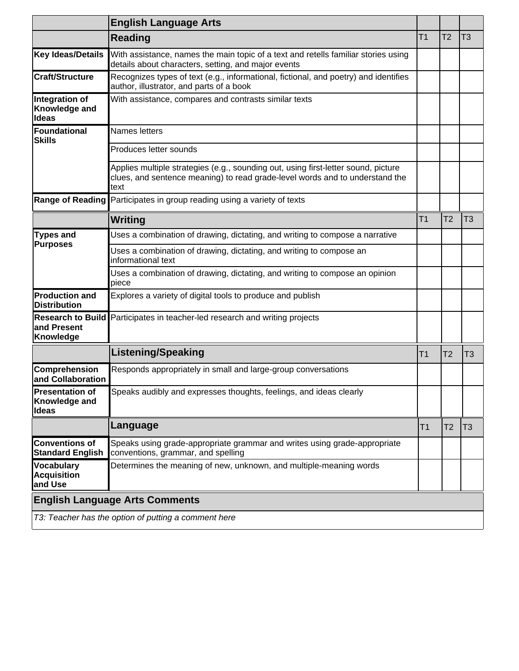|                                                    | <b>English Language Arts</b>                                                                                                                                               |                |                |                |
|----------------------------------------------------|----------------------------------------------------------------------------------------------------------------------------------------------------------------------------|----------------|----------------|----------------|
|                                                    | <b>Reading</b>                                                                                                                                                             | T <sub>1</sub> | T <sub>2</sub> | T <sub>3</sub> |
| Key Ideas/Details                                  | With assistance, names the main topic of a text and retells familiar stories using<br>details about characters, setting, and major events                                  |                |                |                |
| Craft/Structure                                    | Recognizes types of text (e.g., informational, fictional, and poetry) and identifies<br>author, illustrator, and parts of a book                                           |                |                |                |
| Integration of<br>Knowledge and<br><b>Ideas</b>    | With assistance, compares and contrasts similar texts                                                                                                                      |                |                |                |
| Foundational<br><b>Skills</b>                      | Names letters                                                                                                                                                              |                |                |                |
|                                                    | Produces letter sounds                                                                                                                                                     |                |                |                |
|                                                    | Applies multiple strategies (e.g., sounding out, using first-letter sound, picture<br>clues, and sentence meaning) to read grade-level words and to understand the<br>text |                |                |                |
| <b>Range of Reading</b>                            | Participates in group reading using a variety of texts                                                                                                                     |                |                |                |
|                                                    | Writing                                                                                                                                                                    | T <sub>1</sub> | T <sub>2</sub> | T <sub>3</sub> |
| <b>Types and</b><br><b>Purposes</b>                | Uses a combination of drawing, dictating, and writing to compose a narrative                                                                                               |                |                |                |
|                                                    | Uses a combination of drawing, dictating, and writing to compose an<br>informational text                                                                                  |                |                |                |
|                                                    | Uses a combination of drawing, dictating, and writing to compose an opinion<br>piece                                                                                       |                |                |                |
| <b>Production and</b><br><b>Distribution</b>       | Explores a variety of digital tools to produce and publish                                                                                                                 |                |                |                |
| and Present<br>Knowledge                           | Research to Build Participates in teacher-led research and writing projects                                                                                                |                |                |                |
|                                                    | <b>Listening/Speaking</b>                                                                                                                                                  | Τ1             | T <sub>2</sub> | T3             |
| Comprehension<br>and Collaboration                 | Responds appropriately in small and large-group conversations                                                                                                              |                |                |                |
| Presentation of<br>Knowledge and<br>Ideas          | Speaks audibly and expresses thoughts, feelings, and ideas clearly                                                                                                         |                |                |                |
|                                                    | Language                                                                                                                                                                   | IT1            | T2             | T3             |
| Conventions of<br><b>Standard English</b>          | Speaks using grade-appropriate grammar and writes using grade-appropriate<br>conventions, grammar, and spelling                                                            |                |                |                |
| <b>Vocabulary</b><br><b>Acquisition</b><br>and Use | Determines the meaning of new, unknown, and multiple-meaning words                                                                                                         |                |                |                |
|                                                    | <b>English Language Arts Comments</b>                                                                                                                                      |                |                |                |
|                                                    | T3: Teacher has the option of putting a comment here                                                                                                                       |                |                |                |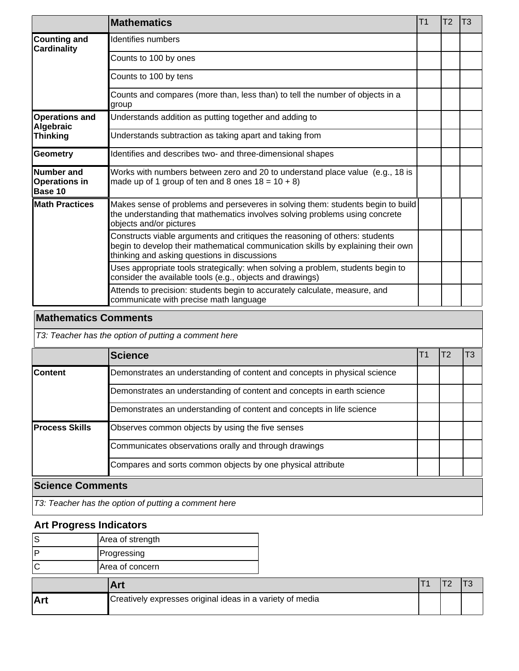|                                                      | <b>Mathematics</b>                                                                                                                                                                                              | T <sub>1</sub> | T <sub>2</sub> | T <sub>3</sub> |
|------------------------------------------------------|-----------------------------------------------------------------------------------------------------------------------------------------------------------------------------------------------------------------|----------------|----------------|----------------|
| Counting and<br><b>Cardinality</b>                   | Identifies numbers                                                                                                                                                                                              |                |                |                |
|                                                      | Counts to 100 by ones                                                                                                                                                                                           |                |                |                |
|                                                      | Counts to 100 by tens                                                                                                                                                                                           |                |                |                |
|                                                      | Counts and compares (more than, less than) to tell the number of objects in a<br>group                                                                                                                          |                |                |                |
| <b>Operations and</b><br>Algebraic                   | Understands addition as putting together and adding to                                                                                                                                                          |                |                |                |
| Thinking                                             | Understands subtraction as taking apart and taking from                                                                                                                                                         |                |                |                |
| Geometry                                             | Identifies and describes two- and three-dimensional shapes                                                                                                                                                      |                |                |                |
| <b>Number</b> and<br><b>Operations in</b><br>Base 10 | Works with numbers between zero and 20 to understand place value (e.g., 18 is<br>made up of 1 group of ten and 8 ones $18 = 10 + 8$ )                                                                           |                |                |                |
| <b>Math Practices</b>                                | Makes sense of problems and perseveres in solving them: students begin to build<br>the understanding that mathematics involves solving problems using concrete<br>objects and/or pictures                       |                |                |                |
|                                                      | Constructs viable arguments and critiques the reasoning of others: students<br>begin to develop their mathematical communication skills by explaining their own<br>thinking and asking questions in discussions |                |                |                |
|                                                      | Uses appropriate tools strategically: when solving a problem, students begin to<br>consider the available tools (e.g., objects and drawings)                                                                    |                |                |                |
|                                                      | Attends to precision: students begin to accurately calculate, measure, and<br>communicate with precise math language                                                                                            |                |                |                |

## **Mathematics Comments**

T3: Teacher has the option of putting a comment here

|                         | <b>Science</b>                                                            | <u> 11</u> | T2 | T3 |  |
|-------------------------|---------------------------------------------------------------------------|------------|----|----|--|
| <b>Content</b>          | Demonstrates an understanding of content and concepts in physical science |            |    |    |  |
|                         | Demonstrates an understanding of content and concepts in earth science    |            |    |    |  |
|                         | Demonstrates an understanding of content and concepts in life science     |            |    |    |  |
| <b>Process Skills</b>   | Observes common objects by using the five senses                          |            |    |    |  |
|                         | Communicates observations orally and through drawings                     |            |    |    |  |
|                         | Compares and sorts common objects by one physical attribute               |            |    |    |  |
| <b>Science Comments</b> |                                                                           |            |    |    |  |
|                         | T3: Teacher has the option of putting a comment here                      |            |    |    |  |

# **Art Progress Indicators**

 $\overline{\phantom{a}}$ 

| Area of strength   |
|--------------------|
| <b>Progressing</b> |
| IArea of concern   |

|            | ، ۱<br>--                                                 |  |  |
|------------|-----------------------------------------------------------|--|--|
| <b>Art</b> | Creatively expresses original ideas in a variety of media |  |  |